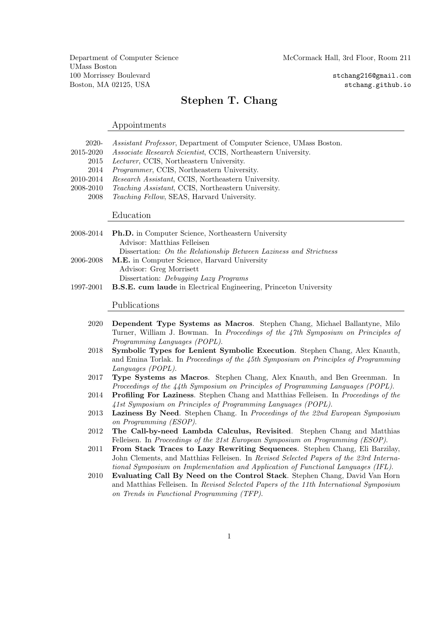UMass Boston 100 Morrissey Boulevard stchang216@gmail.com Boston, MA 02125, USA stchang.github.io

## Stephen T. Chang

### Appointments

| 2020-     | Assistant Professor, Department of Computer Science, UMass Boston. |  |  |
|-----------|--------------------------------------------------------------------|--|--|
| 2015-2020 | Associate Research Scientist, CCIS, Northeastern University.       |  |  |
| 2015      | <i>Lecturer</i> , CCIS, Northeastern University.                   |  |  |
| 2014      | <i>Programmer</i> , CCIS, Northeastern University.                 |  |  |
| 2010-2014 | <i>Research Assistant, CCIS, Northeastern University.</i>          |  |  |
| 2008-2010 | <i>Teaching Assistant, CCIS, Northeastern University.</i>          |  |  |
| 2008      | Teaching Fellow, SEAS, Harvard University.                         |  |  |
|           |                                                                    |  |  |

Education

|                                                                  | 2008-2014 Ph.D. in Computer Science, Northeastern University            |  |  |
|------------------------------------------------------------------|-------------------------------------------------------------------------|--|--|
|                                                                  | Advisor: Matthias Felleisen                                             |  |  |
|                                                                  | Dissertation: On the Relationship Between Laziness and Strictness       |  |  |
| <b>M.E.</b> in Computer Science, Harvard University<br>2006-2008 |                                                                         |  |  |
|                                                                  | Advisor: Greg Morrisett                                                 |  |  |
|                                                                  | Dissertation: <i>Debugging Lazy Programs</i>                            |  |  |
| 1997-2001                                                        | <b>B.S.E.</b> cum laude in Electrical Engineering, Princeton University |  |  |

Publications

- 2020 Dependent Type Systems as Macros. Stephen Chang, Michael Ballantyne, Milo Turner, William J. Bowman. In Proceedings of the 47th Symposium on Principles of Programming Languages (POPL).
- 2018 Symbolic Types for Lenient Symbolic Execution. Stephen Chang, Alex Knauth, and Emina Torlak. In Proceedings of the 45th Symposium on Principles of Programming Languages (POPL).
- 2017 Type Systems as Macros. Stephen Chang, Alex Knauth, and Ben Greenman. In Proceedings of the 44th Symposium on Principles of Programming Languages (POPL).
- 2014 Profiling For Laziness. Stephen Chang and Matthias Felleisen. In Proceedings of the 41st Symposium on Principles of Programming Languages (POPL).
- 2013 Laziness By Need. Stephen Chang. In Proceedings of the 22nd European Symposium on Programming (ESOP).
- 2012 The Call-by-need Lambda Calculus, Revisited. Stephen Chang and Matthias Felleisen. In Proceedings of the 21st European Symposium on Programming (ESOP).
- 2011 From Stack Traces to Lazy Rewriting Sequences. Stephen Chang, Eli Barzilay, John Clements, and Matthias Felleisen. In Revised Selected Papers of the 23rd International Symposium on Implementation and Application of Functional Languages (IFL).
- 2010 Evaluating Call By Need on the Control Stack. Stephen Chang, David Van Horn and Matthias Felleisen. In Revised Selected Papers of the 11th International Symposium on Trends in Functional Programming (TFP).